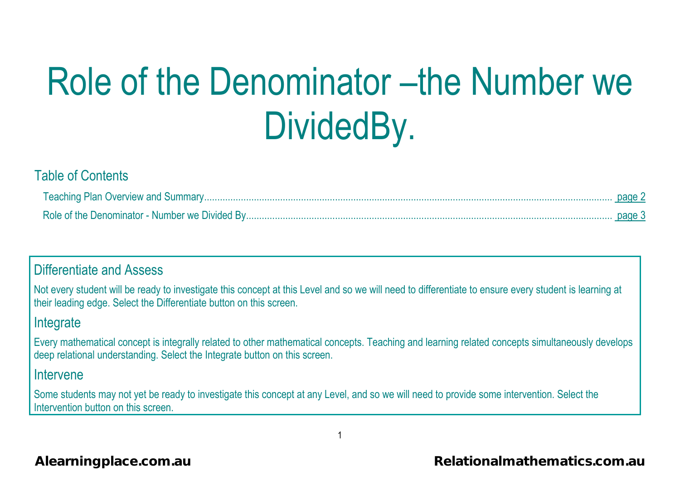# Role of the Denominator –the Number we DividedBy.

# Table of Contents

## Differentiate and Assess

Not every student will be ready to investigate this concept at this Level and so we will need to differentiate to ensure every student is learning at their leading edge. Select the Differentiate button on this screen.

### Integrate

Every mathematical concept is integrally related to other mathematical concepts. Teaching and learning related concepts simultaneously develops deep relational understanding. Select the Integrate button on this screen.

1

#### Intervene

Some students may not yet be ready to investigate this concept at any Level, and so we will need to provide some intervention. Select the Intervention button on this screen.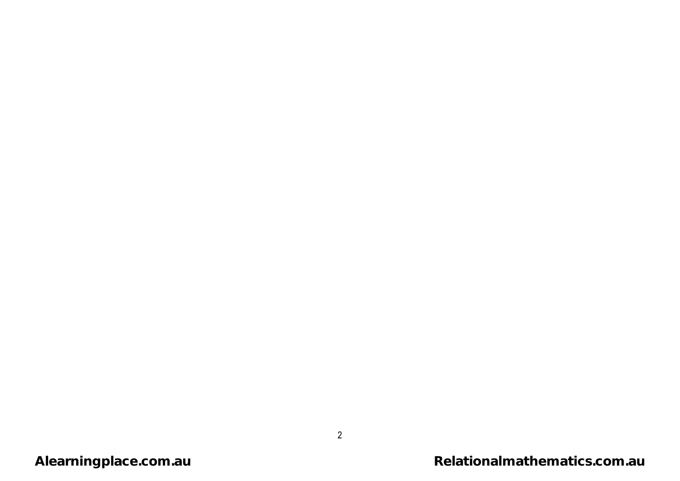# **[Alearningplace.com.au](https://alearningplace.com.au/)**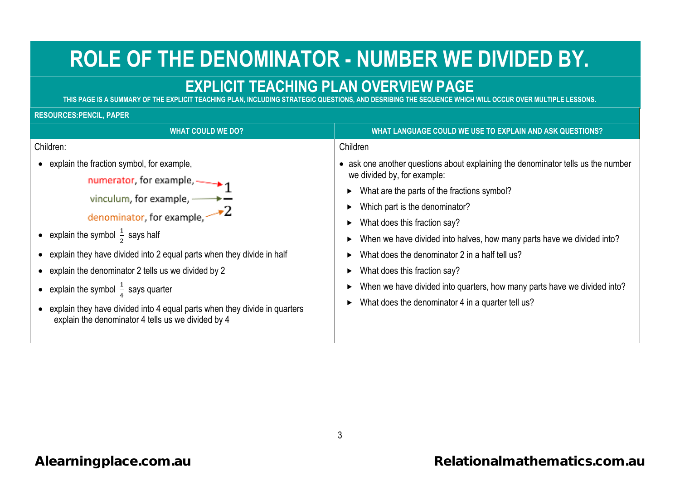# <code>ROLE OF THE DENOMINATOR - NUMBER WE DIVIDED BY.</code>

# **EXPLICIT TEACHING PLAN OVERVIEW PAGEPLAN**

**THIS PAGE IS A SUMMARY OF THE EXPLICIT TEACHING PLAN, INCLUDING STRATEGIC QUESTIONS, AND DESRIBING THE SEQUENCE WHICH WILL OCCUR OVER MULTIPLE LESSONS.STRATEGIC SEQUENCE WHICH WILL** 

#### **RESOURCES:PENCIL, PAPER**

| <b>WHAT COULD WE DO?</b>                                                                                                                                                                                                                                                                                                                                                                                                                                                                                                       | WHAT LANGUAGE COULD WE USE TO EXPLAIN AND ASK QUESTIONS?                                                                                                                                                                                                                                                                                                                                                                                                                                                                    |
|--------------------------------------------------------------------------------------------------------------------------------------------------------------------------------------------------------------------------------------------------------------------------------------------------------------------------------------------------------------------------------------------------------------------------------------------------------------------------------------------------------------------------------|-----------------------------------------------------------------------------------------------------------------------------------------------------------------------------------------------------------------------------------------------------------------------------------------------------------------------------------------------------------------------------------------------------------------------------------------------------------------------------------------------------------------------------|
| Children:                                                                                                                                                                                                                                                                                                                                                                                                                                                                                                                      | Children                                                                                                                                                                                                                                                                                                                                                                                                                                                                                                                    |
| • explain the fraction symbol, for example,<br>numerator, for example, ---<br>vinculum, for example, $\longrightarrow$<br>denominator, for example,<br>• explain the symbol $\frac{1}{2}$ says half<br>• explain they have divided into 2 equal parts when they divide in half<br>• explain the denominator 2 tells us we divided by 2<br>• explain the symbol $\frac{1}{4}$ says quarter<br>• explain they have divided into 4 equal parts when they divide in quarters<br>explain the denominator 4 tells us we divided by 4 | ask one another questions about explaining the denominator tells us the number<br>we divided by, for example:<br>What are the parts of the fractions symbol?<br>Which part is the denominator?<br>What does this fraction say?<br>When we have divided into halves, how many parts have we divided into?<br>What does the denominator 2 in a half tell us?<br>What does this fraction say?<br>When we have divided into quarters, how many parts have we divided into?<br>What does the denominator 4 in a quarter tell us? |
|                                                                                                                                                                                                                                                                                                                                                                                                                                                                                                                                |                                                                                                                                                                                                                                                                                                                                                                                                                                                                                                                             |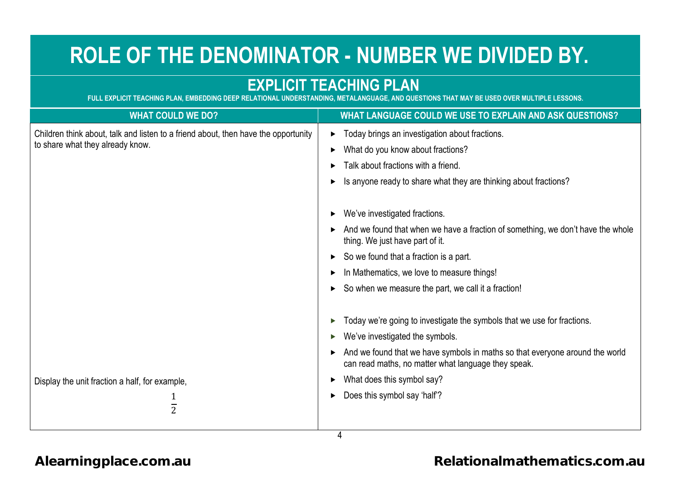# **ROLE OF THE DENOMINATOR - NUMBER WE DIVIDED BY.**

# **EXPLICIT TEACHING PLAN**

**FULL EXPLICIT TEACHING PLAN, EMBEDDING DEEP RELATIONAL UNDERSTANDING, METALANGUAGE, AND QUESTIONS THAT MAY BE USED OVER MULTIPLE LESSONS.**

| <b>WHAT COULD WE DO?</b>                                                                                               | WHAT LANGUAGE COULD WE USE TO EXPLAIN AND ASK QUESTIONS?                                                                                                                                                                                                                                                        |
|------------------------------------------------------------------------------------------------------------------------|-----------------------------------------------------------------------------------------------------------------------------------------------------------------------------------------------------------------------------------------------------------------------------------------------------------------|
| Children think about, talk and listen to a friend about, then have the opportunity<br>to share what they already know. | Today brings an investigation about fractions.<br>What do you know about fractions?<br>Talk about fractions with a friend.<br>Is anyone ready to share what they are thinking about fractions?                                                                                                                  |
|                                                                                                                        | We've investigated fractions.<br>And we found that when we have a fraction of something, we don't have the whole<br>thing. We just have part of it.<br>So we found that a fraction is a part.<br>In Mathematics, we love to measure things!<br>So when we measure the part, we call it a fraction!              |
| Display the unit fraction a half, for example,<br>$\overline{2}$                                                       | Today we're going to investigate the symbols that we use for fractions.<br>We've investigated the symbols.<br>And we found that we have symbols in maths so that everyone around the world<br>can read maths, no matter what language they speak.<br>What does this symbol say?<br>Does this symbol say 'half'? |
|                                                                                                                        | 4                                                                                                                                                                                                                                                                                                               |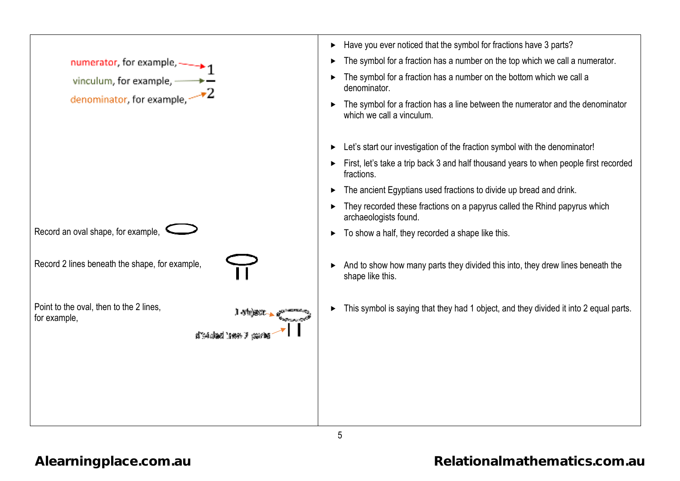

- $\blacktriangleright$  Have you ever noticed that the symbol for fractions have 3 parts?
- The symbol for a fraction has a number on the top which we call a numerator.
- The symbol for a fraction has a number on the bottom which we call a
- $\triangleright$  The symbol for a fraction has a line between the numerator and the denominator in this business. which we call a vinculum.
- ► Let's start our investigation of the fraction symbol with the denominator!
- First, let's take a trip back 3 and half thousand years to when people first recorded
- The ancient Egyptians used fractions to divide up bread and drink.
- They recorded these fractions on a papyrus called the Rhind papyrus which archaeologists found.
- $\blacktriangleright$  To show a half, they recorded a shape like this.

5

- And to show how many parts they divided this into, they drew lines beneath the shope like this
- This symbol is saying that they had 1 object, and they divided it into 2 equal parts.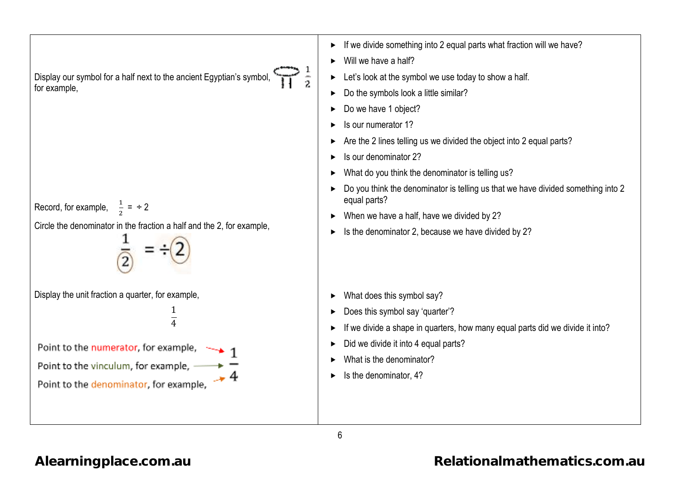

- 
- $\blacktriangleright$ Will we have a half?
- $\blacktriangleright$ Let's look at the symbol we use today to show a half.
- $\blacktriangleright$  Do the symbols look a little similar?
- $\blacktriangleright$ Do we have 1 object?
- ▶ Is our numerator 1?
- ▶ Are the 2 lines telling us we divided the object into 2 equal parts?
- $\blacktriangleright$ Is our denominator 2?
- $\blacktriangleright$ What do you think the denominator is telling us?
- $\blacktriangleright$ Do you think the denominator is telling us that we have divided something into 2 equal parts? Let's look at the symbol we use today to show a half.<br>Do the symbols look a little similar?<br>Do we have 1 object?<br>Is our numerator 1?<br>Are the 2 lines telling us we divided the object into 2 equal parts?<br>Is our denominator 2
- $\blacktriangleright$ When we have a half, have we divided by 2?
- $\blacktriangleright$ Is the denominator 2, because we have divided by 2?
- $\blacktriangleright$ What does this symbol say?
- ▶ Does this symbol say 'quarter'?
- ▶ If we divide a shape in quarters, how many equal parts did we divide it into? hen we have a half, have we divided by 2?<br>the denominator 2, because we have divided by 2?<br>hat does this symbol say?<br>pes this symbol say 'quarter'?<br>we divide a shape in quarters, how many equal parts did we divide it into?
- ▶ Did we divide it into 4 equal parts?
- ▶ What is the denominator?
- $\blacktriangleright$ Is the denominator, 4?